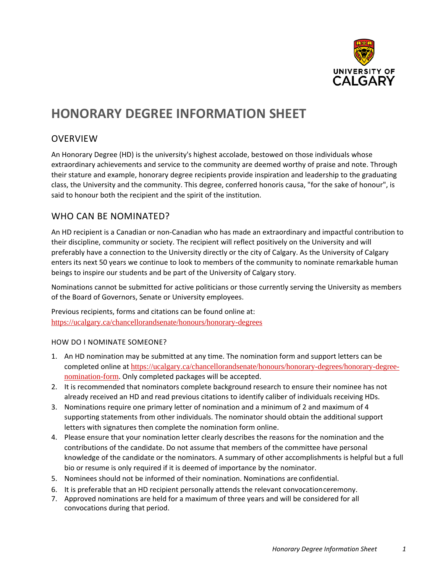

# **HONORARY DEGREE INFORMATION SHEET**

#### OVERVIEW

An Honorary Degree (HD) is the university's highest accolade, bestowed on those individuals whose extraordinary achievements and service to the community are deemed worthy of praise and note. Through their stature and example, honorary degree recipients provide inspiration and leadership to the graduating class, the University and the community. This degree, conferred honoris causa, "for the sake of honour", is said to honour both the recipient and the spirit of the institution.

## WHO CAN BE NOMINATED?

An HD recipient is a Canadian or non-Canadian who has made an extraordinary and impactful contribution to their discipline, community or society. The recipient will reflect positively on the University and will preferably have a connection to the University directly or the city of Calgary. As the University of Calgary enters its next 50 years we continue to look to members of the community to nominate remarkable human beings to inspire our students and be part of the University of Calgary story.

Nominations cannot be submitted for active politicians or those currently serving the University as members of the Board of Governors, Senate or University employees.

Previous recipients, forms and citations can be found online at: <https://ucalgary.ca/chancellorandsenate/honours/honorary-degrees>

#### HOW DO I NOMINATE SOMEONE?

- 1. An HD nomination may be submitted at any time. The nomination form and support letters can be completed online at [https://ucalgary.ca/chancellorandsenate/honours/honorary-degrees/honorary-degree](https://ucalgary.ca/chancellorandsenate/honours/honorary-degrees/honorary-degree-nomination-form)[nomination-form](https://ucalgary.ca/chancellorandsenate/honours/honorary-degrees/honorary-degree-nomination-form). Only completed packages will be accepted.
- 2. It is recommended that nominators complete background research to ensure their nominee has not already received an HD and read previous citations to identify caliber of individuals receiving HDs.
- 3. Nominations require one primary letter of nomination and a minimum of 2 and maximum of 4 supporting statements from other individuals. The nominator should obtain the additional support letters with signatures then complete the nomination form online.
- 4. Please ensure that your nomination letter clearly describes the reasons for the nomination and the contributions of the candidate. Do not assume that members of the committee have personal knowledge of the candidate or the nominators. A summary of other accomplishments is helpful but a full bio or resume is only required if it is deemed of importance by the nominator.
- 5. Nominees should not be informed of their nomination. Nominations are confidential.
- 6. It is preferable that an HD recipient personally attends the relevant convocationceremony.
- 7. Approved nominations are held for a maximum of three years and will be considered for all convocations during that period.